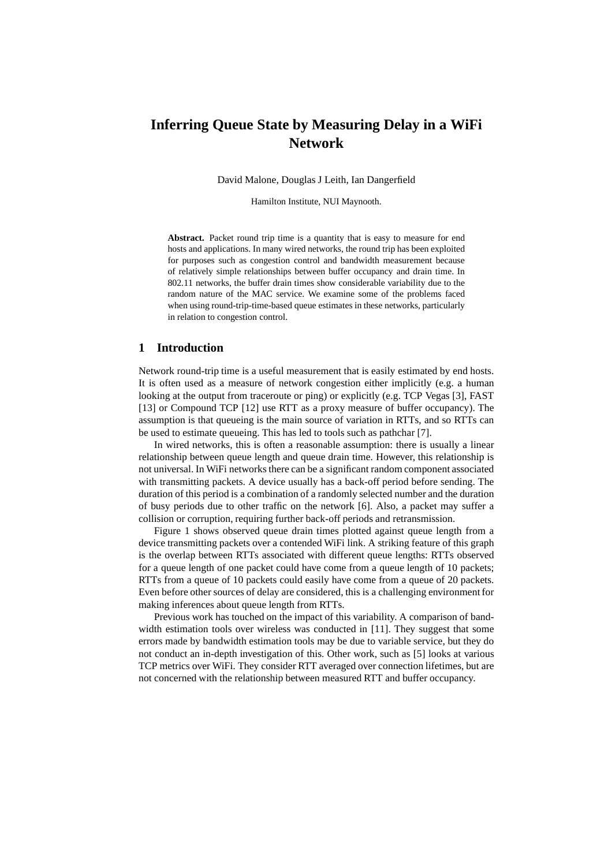# **Inferring Queue State by Measuring Delay in a WiFi Network**

David Malone, Douglas J Leith, Ian Dangerfield

Hamilton Institute, NUI Maynooth.

Abstract. Packet round trip time is a quantity that is easy to measure for end hosts and applications. In many wired networks, the round trip has been exploited for purposes such as congestion control and bandwidth measurement because of relatively simple relationships between buffer occupancy and drain time. In 802.11 networks, the buffer drain times show considerable variability due to the random nature of the MAC service. We examine some of the problems faced when using round-trip-time-based queue estimates in these networks, particularly in relation to congestion control.

## **1 Introduction**

Network round-trip time is a useful measurement that is easily estimated by end hosts. It is often used as a measure of network congestion either implicitly (e.g. a human looking at the output from traceroute or ping) or explicitly (e.g. TCP Vegas [3], FAST [13] or Compound TCP [12] use RTT as a proxy measure of buffer occupancy). The assumption is that queueing is the main source of variation in RTTs, and so RTTs can be used to estimate queueing. This has led to tools such as pathchar [7].

In wired networks, this is often a reasonable assumption: there is usually a linear relationship between queue length and queue drain time. However, this relationship is not universal. In WiFi networks there can be a significant random component associated with transmitting packets. A device usually has a back-off period before sending. The duration of this period is a combination of a randomly selected number and the duration of busy periods due to other traffic on the network [6]. Also, a packet may suffer a collision or corruption, requiring further back-off periods and retransmission.

Figure 1 shows observed queue drain times plotted against queue length from a device transmitting packets over a contended WiFi link. A striking feature of this graph is the overlap between RTTs associated with different queue lengths: RTTs observed for a queue length of one packet could have come from a queue length of 10 packets; RTTs from a queue of 10 packets could easily have come from a queue of 20 packets. Even before other sources of delay are considered, this is a challenging environment for making inferences about queue length from RTTs.

Previous work has touched on the impact of this variability. A comparison of bandwidth estimation tools over wireless was conducted in [11]. They suggest that some errors made by bandwidth estimation tools may be due to variable service, but they do not conduct an in-depth investigation of this. Other work, such as [5] looks at various TCP metrics over WiFi. They consider RTT averaged over connection lifetimes, but are not concerned with the relationship between measured RTT and buffer occupancy.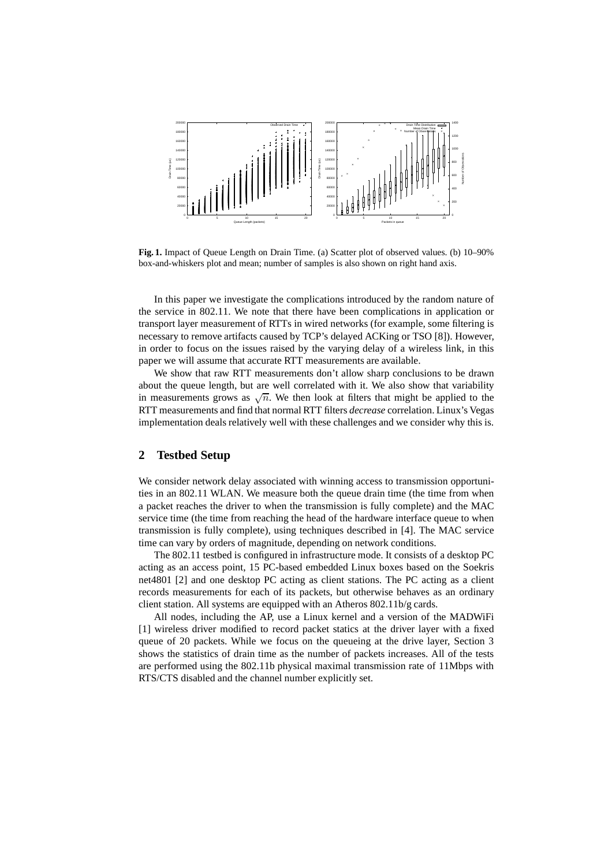

**Fig. 1.** Impact of Queue Length on Drain Time. (a) Scatter plot of observed values. (b) 10–90% box-and-whiskers plot and mean; number of samples is also shown on right hand axis.

In this paper we investigate the complications introduced by the random nature of the service in 802.11. We note that there have been complications in application or transport layer measurement of RTTs in wired networks (for example, some filtering is necessary to remove artifacts caused by TCP's delayed ACKing or TSO [8]). However, in order to focus on the issues raised by the varying delay of a wireless link, in this paper we will assume that accurate RTT measurements are available.

We show that raw RTT measurements don't allow sharp conclusions to be drawn about the queue length, but are well correlated with it. We also show that variability in measurements grows as  $\sqrt{n}$ . We then look at filters that might be applied to the RTT measurements and find that normal RTT filters *decrease* correlation. Linux's Vegas implementation deals relatively well with these challenges and we consider why this is.

## **2 Testbed Setup**

We consider network delay associated with winning access to transmission opportunities in an 802.11 WLAN. We measure both the queue drain time (the time from when a packet reaches the driver to when the transmission is fully complete) and the MAC service time (the time from reaching the head of the hardware interface queue to when transmission is fully complete), using techniques described in [4]. The MAC service time can vary by orders of magnitude, depending on network conditions.

The 802.11 testbed is configured in infrastructure mode. It consists of a desktop PC acting as an access point, 15 PC-based embedded Linux boxes based on the Soekris net4801 [2] and one desktop PC acting as client stations. The PC acting as a client records measurements for each of its packets, but otherwise behaves as an ordinary client station. All systems are equipped with an Atheros 802.11b/g cards.

All nodes, including the AP, use a Linux kernel and a version of the MADWiFi [1] wireless driver modified to record packet statics at the driver layer with a fixed queue of 20 packets. While we focus on the queueing at the drive layer, Section 3 shows the statistics of drain time as the number of packets increases. All of the tests are performed using the 802.11b physical maximal transmission rate of 11Mbps with RTS/CTS disabled and the channel number explicitly set.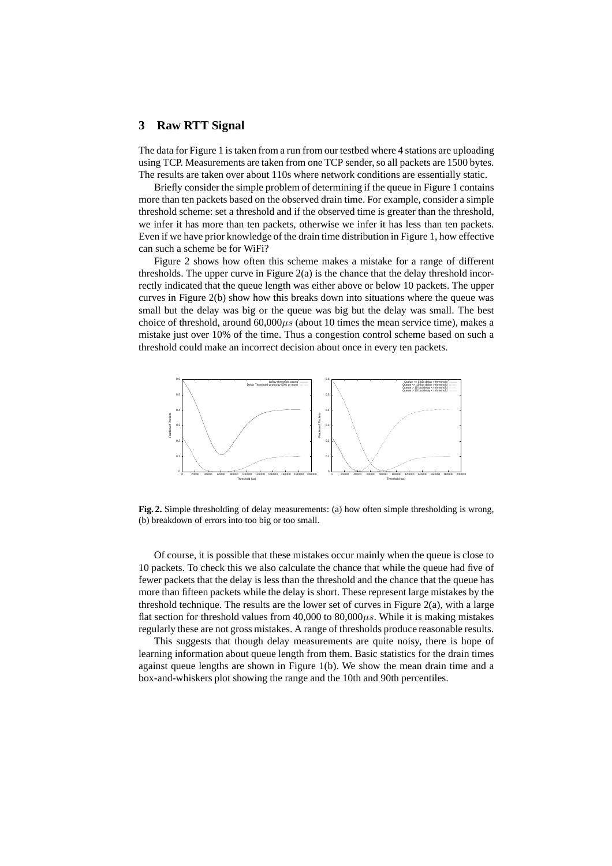## **3 Raw RTT Signal**

The data for Figure 1 is taken from a run from our testbed where 4 stations are uploading using TCP. Measurements are taken from one TCP sender, so all packets are 1500 bytes. The results are taken over about 110s where network conditions are essentially static.

Briefly consider the simple problem of determining if the queue in Figure 1 contains more than ten packets based on the observed drain time. For example, consider a simple threshold scheme: set a threshold and if the observed time is greater than the threshold, we infer it has more than ten packets, otherwise we infer it has less than ten packets. Even if we have prior knowledge of the drain time distribution in Figure 1, how effective can such a scheme be for WiFi?

Figure 2 shows how often this scheme makes a mistake for a range of different thresholds. The upper curve in Figure 2(a) is the chance that the delay threshold incorrectly indicated that the queue length was either above or below 10 packets. The upper curves in Figure 2(b) show how this breaks down into situations where the queue was small but the delay was big or the queue was big but the delay was small. The best choice of threshold, around  $60,000\mu s$  (about 10 times the mean service time), makes a mistake just over 10% of the time. Thus a congestion control scheme based on such a threshold could make an incorrect decision about once in every ten packets.



**Fig. 2.** Simple thresholding of delay measurements: (a) how often simple thresholding is wrong, (b) breakdown of errors into too big or too small.

Of course, it is possible that these mistakes occur mainly when the queue is close to 10 packets. To check this we also calculate the chance that while the queue had five of fewer packets that the delay is less than the threshold and the chance that the queue has more than fifteen packets while the delay is short. These represent large mistakes by the threshold technique. The results are the lower set of curves in Figure 2(a), with a large flat section for threshold values from  $40,000$  to  $80,000\mu s$ . While it is making mistakes regularly these are not gross mistakes. A range of thresholds produce reasonable results.

This suggests that though delay measurements are quite noisy, there is hope of learning information about queue length from them. Basic statistics for the drain times against queue lengths are shown in Figure 1(b). We show the mean drain time and a box-and-whiskers plot showing the range and the 10th and 90th percentiles.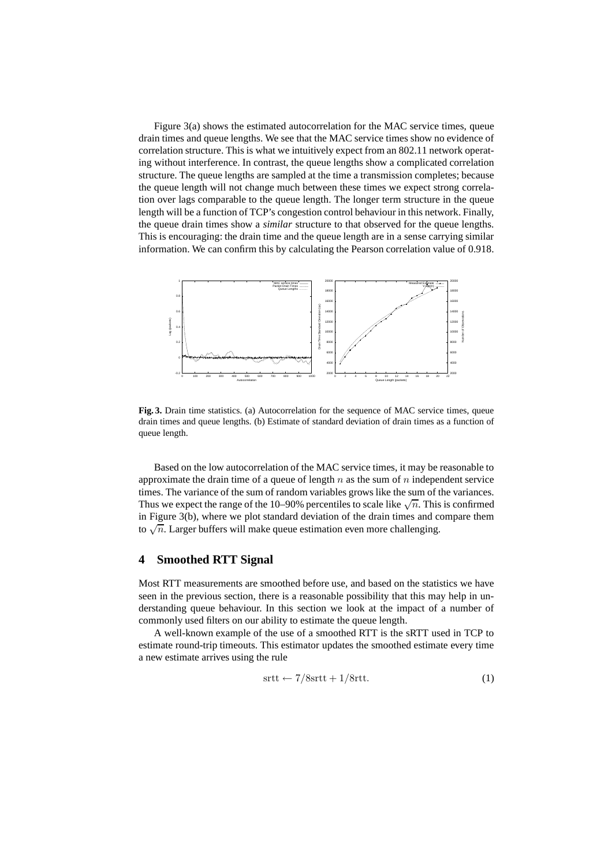Figure 3(a) shows the estimated autocorrelation for the MAC service times, queue drain times and queue lengths. We see that the MAC service times show no evidence of correlation structure. This is what we intuitively expect from an 802.11 network operating without interference. In contrast, the queue lengths show a complicated correlation structure. The queue lengths are sampled at the time a transmission completes; because the queue length will not change much between these times we expect strong correlation over lags comparable to the queue length. The longer term structure in the queue length will be a function of TCP's congestion control behaviour in this network. Finally, the queue drain times show a *similar* structure to that observed for the queue lengths. This is encouraging: the drain time and the queue length are in a sense carrying similar information. We can confirm this by calculating the Pearson correlation value of 0.918.



**Fig. 3.** Drain time statistics. (a) Autocorrelation for the sequence of MAC service times, queue drain times and queue lengths. (b) Estimate of standard deviation of drain times as a function of queue length.

Based on the low autocorrelation of the MAC service times, it may be reasonable to approximate the drain time of a queue of length  $n$  as the sum of  $n$  independent service times. The variance of the sum of random variables grows like the sum of the variances. Thus we expect the range of the 10–90% percentiles to scale like  $\sqrt{n}$ . This is confirmed in Figure 3(b), where we plot standard deviation of the drain times and compare them to  $\sqrt{n}$ . Larger buffers will make queue estimation even more challenging.

# **4 Smoothed RTT Signal**

Most RTT measurements are smoothed before use, and based on the statistics we have seen in the previous section, there is a reasonable possibility that this may help in understanding queue behaviour. In this section we look at the impact of a number of commonly used filters on our ability to estimate the queue length.

A well-known example of the use of a smoothed RTT is the sRTT used in TCP to estimate round-trip timeouts. This estimator updates the smoothed estimate every time a new estimate arrives using the rule

$$
srtt \leftarrow 7/8srtt + 1/8rtt. \tag{1}
$$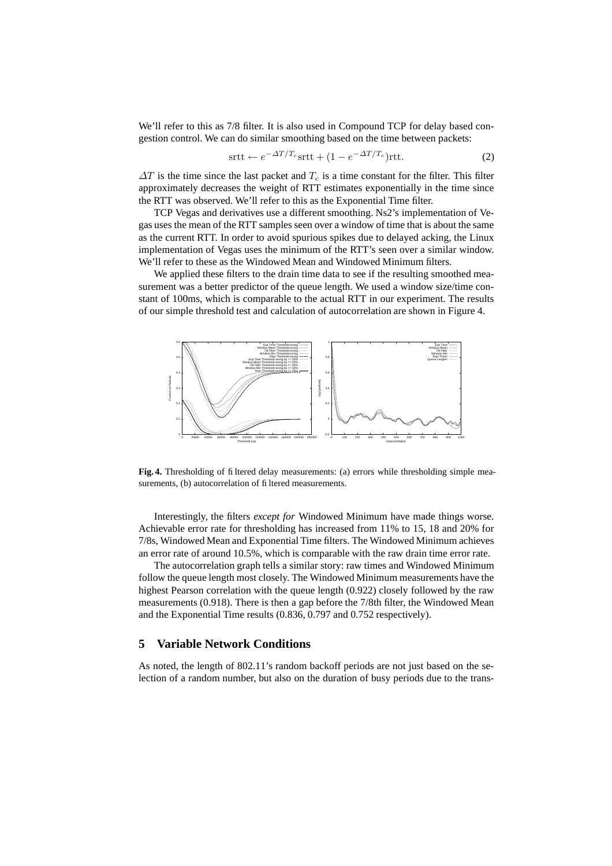We'll refer to this as 7/8 filter. It is also used in Compound TCP for delay based congestion control. We can do similar smoothing based on the time between packets:

$$
srtt \leftarrow e^{-\Delta T/T_c} srtt + (1 - e^{-\Delta T/T_c})rtt. \tag{2}
$$

 $\Delta T$  is the time since the last packet and  $T_c$  is a time constant for the filter. This filter approximately decreases the weight of RTT estimates exponentially in the time since the RTT was observed. We'll refer to this as the Exponential Time filter.

TCP Vegas and derivatives use a different smoothing. Ns2's implementation of Vegas uses the mean of the RTT samples seen over a window of time that is about the same as the current RTT. In order to avoid spurious spikes due to delayed acking, the Linux implementation of Vegas uses the minimum of the RTT's seen over a similar window. We'll refer to these as the Windowed Mean and Windowed Minimum filters.

We applied these filters to the drain time data to see if the resulting smoothed measurement was a better predictor of the queue length. We used a window size/time constant of 100ms, which is comparable to the actual RTT in our experiment. The results of our simple threshold test and calculation of autocorrelation are shown in Figure 4.



**Fig. 4.** Thresholding of filtered delay measurements: (a) errors while thresholding simple measurements, (b) autocorrelation of filtered measurements.

Interestingly, the filters *except for* Windowed Minimum have made things worse. Achievable error rate for thresholding has increased from 11% to 15, 18 and 20% for 7/8s, Windowed Mean and Exponential Time filters. The Windowed Minimum achieves an error rate of around 10.5%, which is comparable with the raw drain time error rate.

The autocorrelation graph tells a similar story: raw times and Windowed Minimum follow the queue length most closely. The Windowed Minimum measurements have the highest Pearson correlation with the queue length (0.922) closely followed by the raw measurements (0.918). There is then a gap before the 7/8th filter, the Windowed Mean and the Exponential Time results (0.836, 0.797 and 0.752 respectively).

#### **5 Variable Network Conditions**

As noted, the length of 802.11's random backoff periods are not just based on the selection of a random number, but also on the duration of busy periods due to the trans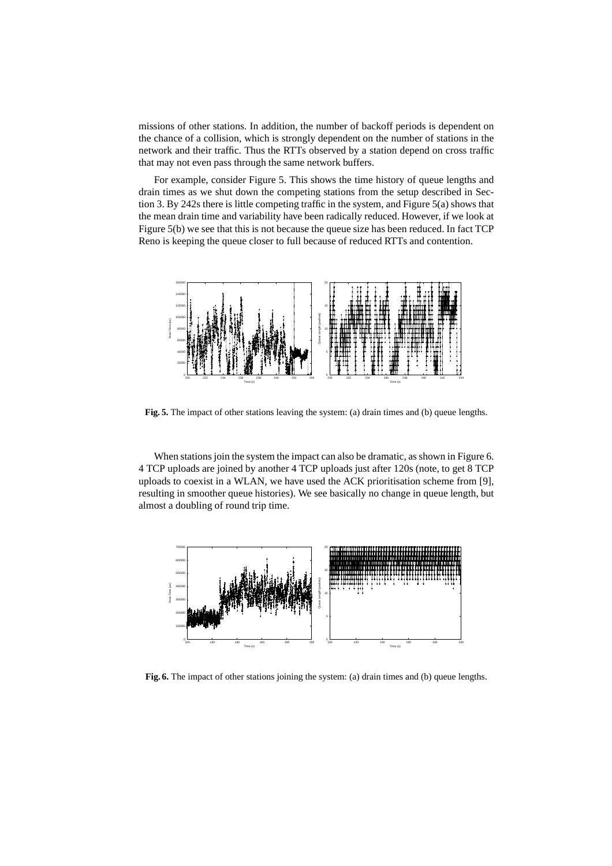missions of other stations. In addition, the number of backoff periods is dependent on the chance of a collision, which is strongly dependent on the number of stations in the network and their traffic. Thus the RTTs observed by a station depend on cross traffic that may not even pass through the same network buffers.

For example, consider Figure 5. This shows the time history of queue lengths and drain times as we shut down the competing stations from the setup described in Section 3. By 242s there is little competing traffic in the system, and Figure 5(a) shows that the mean drain time and variability have been radically reduced. However, if we look at Figure 5(b) we see that this is not because the queue size has been reduced. In fact TCP Reno is keeping the queue closer to full because of reduced RTTs and contention.



**Fig.** 5. The impact of other stations leaving the system: (a) drain times and (b) queue lengths.

When stations join the system the impact can also be dramatic, as shown in Figure 6. 4 TCP uploads are joined by another 4 TCP uploads just after 120s (note, to get 8 TCP uploads to coexist in a WLAN, we have used the ACK prioritisation scheme from [9], resulting in smoother queue histories). We see basically no change in queue length, but almost a doubling of round trip time.



**Fig. 6.** The impact of other stations joining the system: (a) drain times and (b) queue lengths.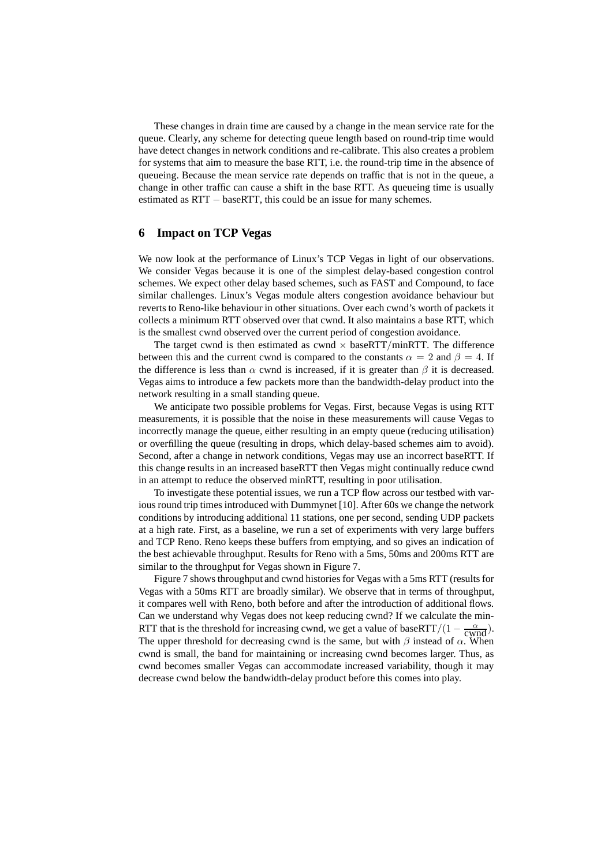These changes in drain time are caused by a change in the mean service rate for the queue. Clearly, any scheme for detecting queue length based on round-trip time would have detect changes in network conditions and re-calibrate. This also creates a problem for systems that aim to measure the base RTT, i.e. the round-trip time in the absence of queueing. Because the mean service rate depends on traffic that is not in the queue, a change in other traffic can cause a shift in the base RTT. As queueing time is usually estimated as RTT – baseRTT, this could be an issue for many schemes.

### **6 Impact on TCP Vegas**

We now look at the performance of Linux's TCP Vegas in light of our observations. We consider Vegas because it is one of the simplest delay-based congestion control schemes. We expect other delay based schemes, such as FAST and Compound, to face similar challenges. Linux's Vegas module alters congestion avoidance behaviour but reverts to Reno-like behaviour in other situations. Over each cwnd's worth of packets it collects a minimum RTT observed over that cwnd. It also maintains a base RTT, which is the smallest cwnd observed over the current period of congestion avoidance.

The target cwnd is then estimated as cwnd  $\times$  baseRTT/minRTT. The difference between this and the current cwnd is compared to the constants  $\alpha = 2$  and  $\beta = 4$ . If the difference is less than  $\alpha$  cwnd is increased, if it is greater than  $\beta$  it is decreased. Vegas aims to introduce a few packets more than the bandwidth-delay product into the network resulting in a small standing queue.

We anticipate two possible problems for Vegas. First, because Vegas is using RTT measurements, it is possible that the noise in these measurements will cause Vegas to incorrectly manage the queue, either resulting in an empty queue (reducing utilisation) or overfilling the queue (resulting in drops, which delay-based schemes aim to avoid). Second, after a change in network conditions, Vegas may use an incorrect baseRTT. If this change results in an increased baseRTT then Vegas might continually reduce cwnd in an attempt to reduce the observed minRTT, resulting in poor utilisation.

To investigate these potential issues, we run a TCP flow across our testbed with various round trip times introduced with Dummynet [10]. After 60s we change the network conditions by introducing additional 11 stations, one per second, sending UDP packets at a high rate. First, as a baseline, we run a set of experiments with very large buffers and TCP Reno. Reno keeps these buffers from emptying, and so gives an indication of the best achievable throughput. Results for Reno with a 5ms, 50ms and 200ms RTT are similar to the throughput for Vegas shown in Figure 7.

Figure 7 shows throughput and cwnd histories for Vegas with a 5ms RTT (results for Vegas with a 50ms RTT are broadly similar). We observe that in terms of throughput, it compares well with Reno, both before and after the introduction of additional flows. Can we understand why Vegas does not keep reducing cwnd? If we calculate the min-RTT that is the threshold for increasing cwnd, we get a value of baseRTT/(1 –  $\frac{\alpha}{\text{cwnd}}$ ). The upper threshold for decreasing cwnd is the same, but with  $\beta$  instead of  $\alpha$ . When cwnd is small, the band for maintaining or increasing cwnd becomes larger. Thus, as cwnd becomes smaller Vegas can accommodate increased variability, though it may decrease cwnd below the bandwidth-delay product before this comes into play.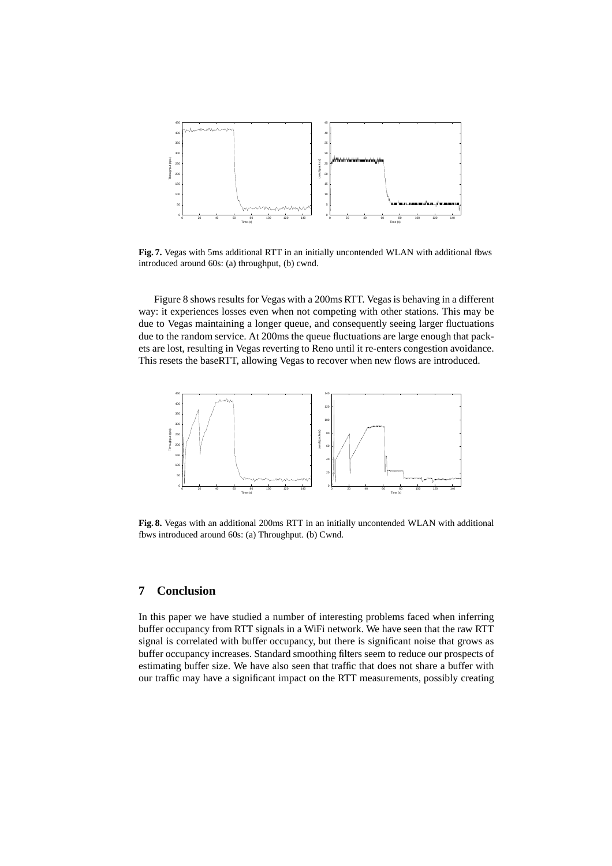

Fig. 7. Vegas with 5ms additional RTT in an initially uncontended WLAN with additional fbws introduced around 60s: (a) throughput, (b) cwnd.

Figure 8 shows results for Vegas with a 200ms RTT. Vegas is behaving in a different way: it experiences losses even when not competing with other stations. This may be due to Vegas maintaining a longer queue, and consequently seeing larger fluctuations due to the random service. At 200ms the queue fluctuations are large enough that packets are lost, resulting in Vegas reverting to Reno until it re-enters congestion avoidance. This resets the baseRTT, allowing Vegas to recover when new flows are introduced.



**Fig. 8.** Vegas with an additional 200ms RTT in an initially uncontended WLAN with additional fbws introduced around 60s: (a) Throughput. (b) Cwnd.

# **7 Conclusion**

In this paper we have studied a number of interesting problems faced when inferring buffer occupancy from RTT signals in a WiFi network. We have seen that the raw RTT signal is correlated with buffer occupancy, but there is significant noise that grows as buffer occupancy increases. Standard smoothing filters seem to reduce our prospects of estimating buffer size. We have also seen that traffic that does not share a buffer with our traffic may have a significant impact on the RTT measurements, possibly creating